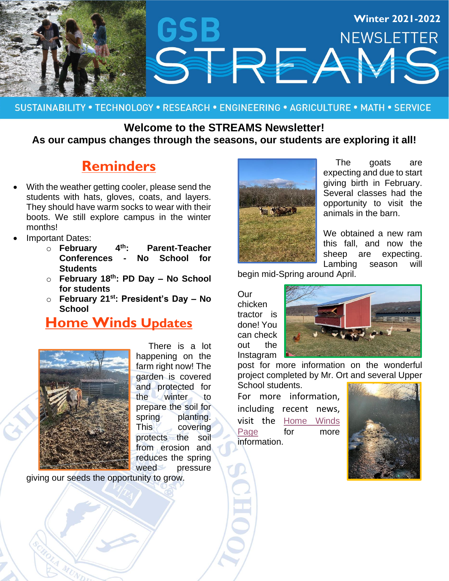

#### SUSTAINABILITY • TECHNOLOGY • RESEARCH • ENGINEERING • AGRICULTURE • MATH • SERVICE

### **Welcome to the STREAMS Newsletter! As our campus changes through the seasons, our students are exploring it all!**

# **Reminders**

- With the weather getting cooler, please send the students with hats, gloves, coats, and layers. They should have warm socks to wear with their boots. We still explore campus in the winter months!
- Important Dates:
	- o **February 4 th: Parent-Teacher Conferences - No School for Students**
	- o **February 18 th: PD Day – No School for students**
	- o **February 21st: President's Day – No School**

## **Home Winds Updates**



 There is a lot happening on the farm right now! The garden is covered and protected for the winter to prepare the soil for spring planting. This covering protects the soil from erosion and reduces the spring weed pressure

giving our seeds the opportunity to grow.



 The goats are expecting and due to start giving birth in February. Several classes had the opportunity to visit the animals in the barn.

We obtained a new ram this fall, and now the sheep are expecting. Lambing season will

begin mid-Spring around April.

**Our** chicken tractor is done! You can check out the Instagram



post for more information on the wonderful project completed by Mr. Ort and several Upper

School students. For more information, including recent news, visit the [Home Winds](https://www.gsbschool.org/about/home-winds-farm)  [Page](https://www.gsbschool.org/about/home-winds-farm) for more information.